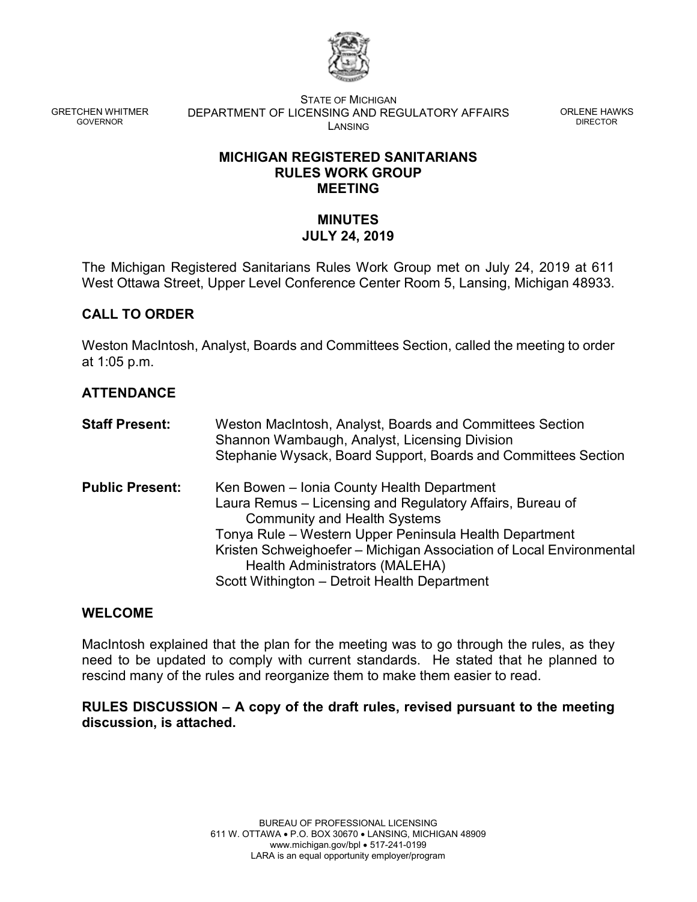

GRETCHEN WHITMER GOVERNOR

STATE OF MICHIGAN DEPARTMENT OF LICENSING AND REGULATORY AFFAIRS LANSING

ORLENE HAWKS DIRECTOR

## **MICHIGAN REGISTERED SANITARIANS RULES WORK GROUP MEETING**

# **MINUTES JULY 24, 2019**

The Michigan Registered Sanitarians Rules Work Group met on July 24, 2019 at 611 West Ottawa Street, Upper Level Conference Center Room 5, Lansing, Michigan 48933.

## **CALL TO ORDER**

Weston MacIntosh, Analyst, Boards and Committees Section, called the meeting to order at 1:05 p.m.

# **ATTENDANCE**

| <b>Staff Present:</b>  | Weston MacIntosh, Analyst, Boards and Committees Section<br>Shannon Wambaugh, Analyst, Licensing Division<br>Stephanie Wysack, Board Support, Boards and Committees Section                                                                                                                                                                                       |
|------------------------|-------------------------------------------------------------------------------------------------------------------------------------------------------------------------------------------------------------------------------------------------------------------------------------------------------------------------------------------------------------------|
| <b>Public Present:</b> | Ken Bowen - Ionia County Health Department<br>Laura Remus – Licensing and Regulatory Affairs, Bureau of<br><b>Community and Health Systems</b><br>Tonya Rule – Western Upper Peninsula Health Department<br>Kristen Schweighoefer – Michigan Association of Local Environmental<br>Health Administrators (MALEHA)<br>Scott Withington - Detroit Health Department |

## **WELCOME**

MacIntosh explained that the plan for the meeting was to go through the rules, as they need to be updated to comply with current standards. He stated that he planned to rescind many of the rules and reorganize them to make them easier to read.

## **RULES DISCUSSION – A copy of the draft rules, revised pursuant to the meeting discussion, is attached.**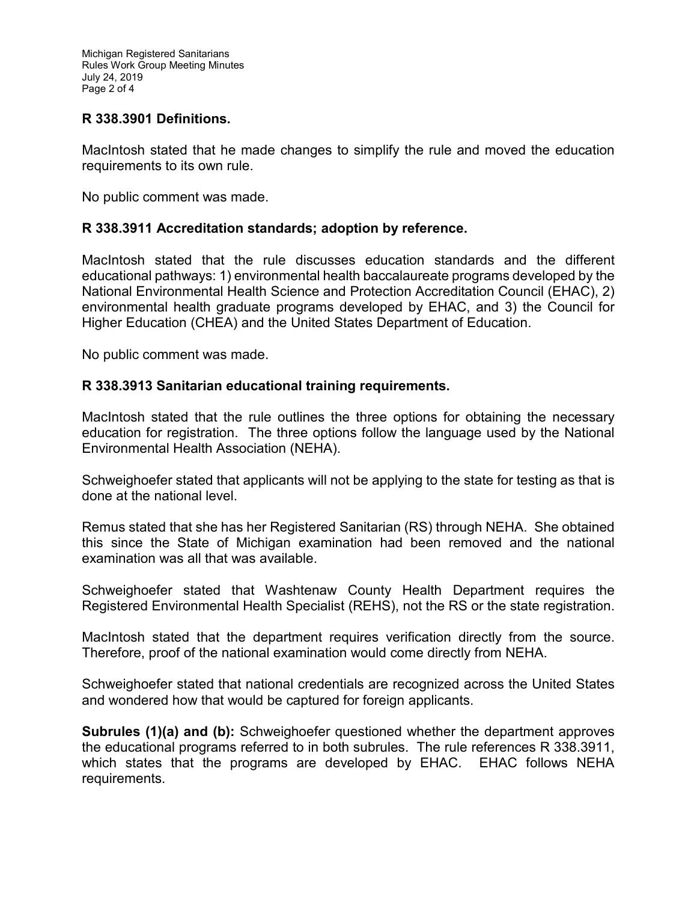## **R 338.3901 Definitions.**

MacIntosh stated that he made changes to simplify the rule and moved the education requirements to its own rule.

No public comment was made.

## **R 338.3911 Accreditation standards; adoption by reference.**

MacIntosh stated that the rule discusses education standards and the different educational pathways: 1) environmental health baccalaureate programs developed by the National Environmental Health Science and Protection Accreditation Council (EHAC), 2) environmental health graduate programs developed by EHAC, and 3) the Council for Higher Education (CHEA) and the United States Department of Education.

No public comment was made.

## **R 338.3913 Sanitarian educational training requirements.**

MacIntosh stated that the rule outlines the three options for obtaining the necessary education for registration. The three options follow the language used by the National Environmental Health Association (NEHA).

Schweighoefer stated that applicants will not be applying to the state for testing as that is done at the national level.

Remus stated that she has her Registered Sanitarian (RS) through NEHA. She obtained this since the State of Michigan examination had been removed and the national examination was all that was available.

Schweighoefer stated that Washtenaw County Health Department requires the Registered Environmental Health Specialist (REHS), not the RS or the state registration.

MacIntosh stated that the department requires verification directly from the source. Therefore, proof of the national examination would come directly from NEHA.

Schweighoefer stated that national credentials are recognized across the United States and wondered how that would be captured for foreign applicants.

**Subrules (1)(a) and (b):** Schweighoefer questioned whether the department approves the educational programs referred to in both subrules. The rule references R 338.3911, which states that the programs are developed by EHAC. EHAC follows NEHA requirements.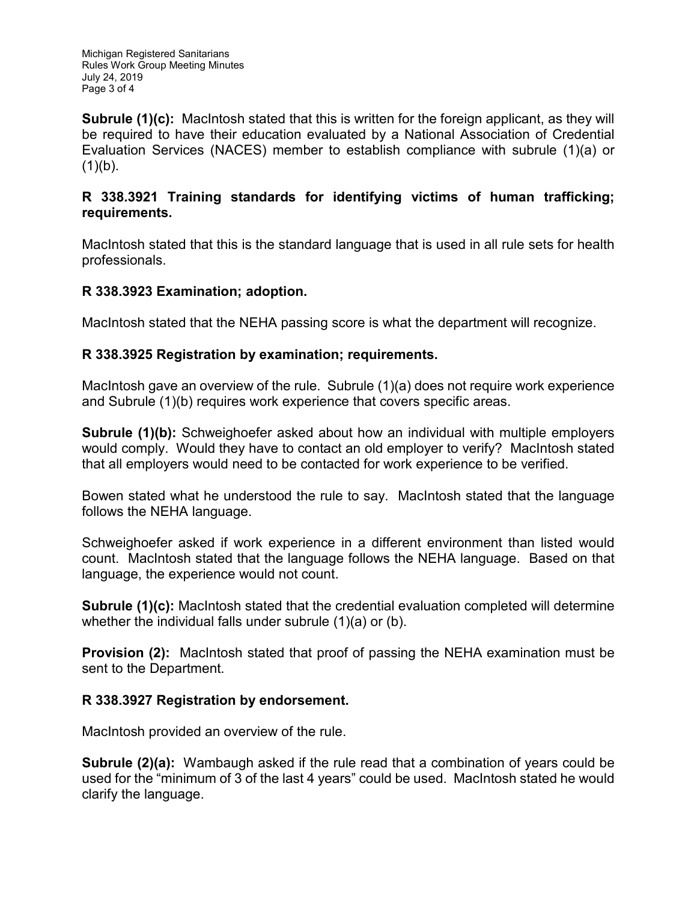Michigan Registered Sanitarians Rules Work Group Meeting Minutes July 24, 2019 Page 3 of 4

**Subrule (1)(c):** MacIntosh stated that this is written for the foreign applicant, as they will be required to have their education evaluated by a National Association of Credential Evaluation Services (NACES) member to establish compliance with subrule (1)(a) or  $(1)(b)$ .

## **R 338.3921 Training standards for identifying victims of human trafficking; requirements.**

MacIntosh stated that this is the standard language that is used in all rule sets for health professionals.

## **R 338.3923 Examination; adoption.**

MacIntosh stated that the NEHA passing score is what the department will recognize.

## **R 338.3925 Registration by examination; requirements.**

MacIntosh gave an overview of the rule. Subrule (1)(a) does not require work experience and Subrule (1)(b) requires work experience that covers specific areas.

**Subrule (1)(b):** Schweighoefer asked about how an individual with multiple employers would comply. Would they have to contact an old employer to verify? MacIntosh stated that all employers would need to be contacted for work experience to be verified.

Bowen stated what he understood the rule to say. MacIntosh stated that the language follows the NEHA language.

Schweighoefer asked if work experience in a different environment than listed would count. MacIntosh stated that the language follows the NEHA language. Based on that language, the experience would not count.

**Subrule (1)(c):** MacIntosh stated that the credential evaluation completed will determine whether the individual falls under subrule (1)(a) or (b).

**Provision (2):** MacIntosh stated that proof of passing the NEHA examination must be sent to the Department.

## **R 338.3927 Registration by endorsement.**

MacIntosh provided an overview of the rule.

**Subrule (2)(a):** Wambaugh asked if the rule read that a combination of years could be used for the "minimum of 3 of the last 4 years" could be used. MacIntosh stated he would clarify the language.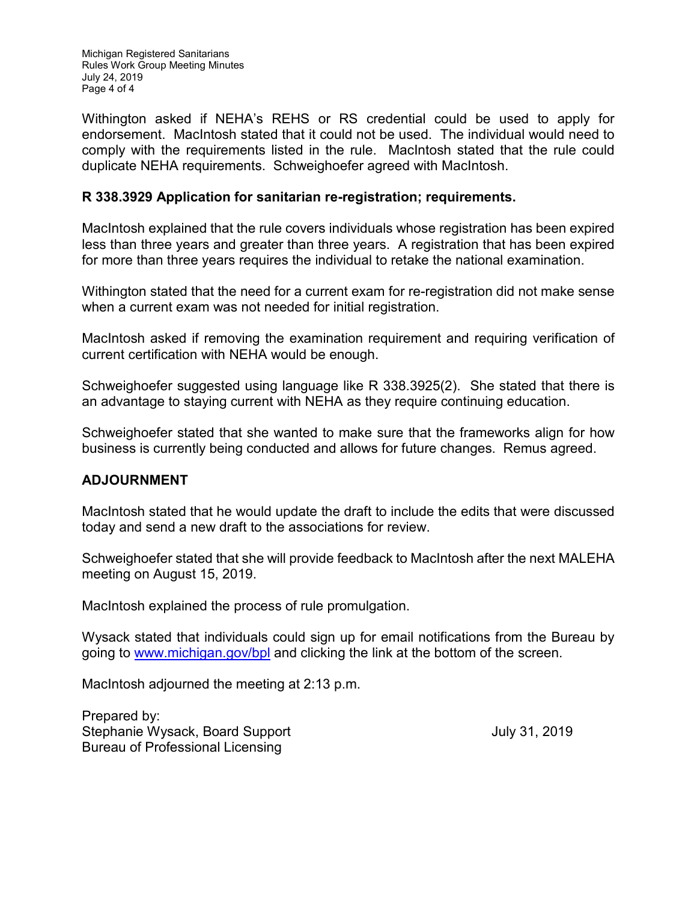Michigan Registered Sanitarians Rules Work Group Meeting Minutes July 24, 2019 Page 4 of 4

Withington asked if NEHA's REHS or RS credential could be used to apply for endorsement. MacIntosh stated that it could not be used. The individual would need to comply with the requirements listed in the rule. MacIntosh stated that the rule could duplicate NEHA requirements. Schweighoefer agreed with MacIntosh.

## **R 338.3929 Application for sanitarian re-registration; requirements.**

MacIntosh explained that the rule covers individuals whose registration has been expired less than three years and greater than three years. A registration that has been expired for more than three years requires the individual to retake the national examination.

Withington stated that the need for a current exam for re-registration did not make sense when a current exam was not needed for initial registration.

MacIntosh asked if removing the examination requirement and requiring verification of current certification with NEHA would be enough.

Schweighoefer suggested using language like R 338.3925(2). She stated that there is an advantage to staying current with NEHA as they require continuing education.

Schweighoefer stated that she wanted to make sure that the frameworks align for how business is currently being conducted and allows for future changes. Remus agreed.

## **ADJOURNMENT**

MacIntosh stated that he would update the draft to include the edits that were discussed today and send a new draft to the associations for review.

Schweighoefer stated that she will provide feedback to MacIntosh after the next MALEHA meeting on August 15, 2019.

MacIntosh explained the process of rule promulgation.

Wysack stated that individuals could sign up for email notifications from the Bureau by going to [www.michigan.gov/bpl](http://www.michigan.gov/bpl) and clicking the link at the bottom of the screen.

MacIntosh adjourned the meeting at 2:13 p.m.

Prepared by: Stephanie Wysack, Board Support July 31, 2019 Bureau of Professional Licensing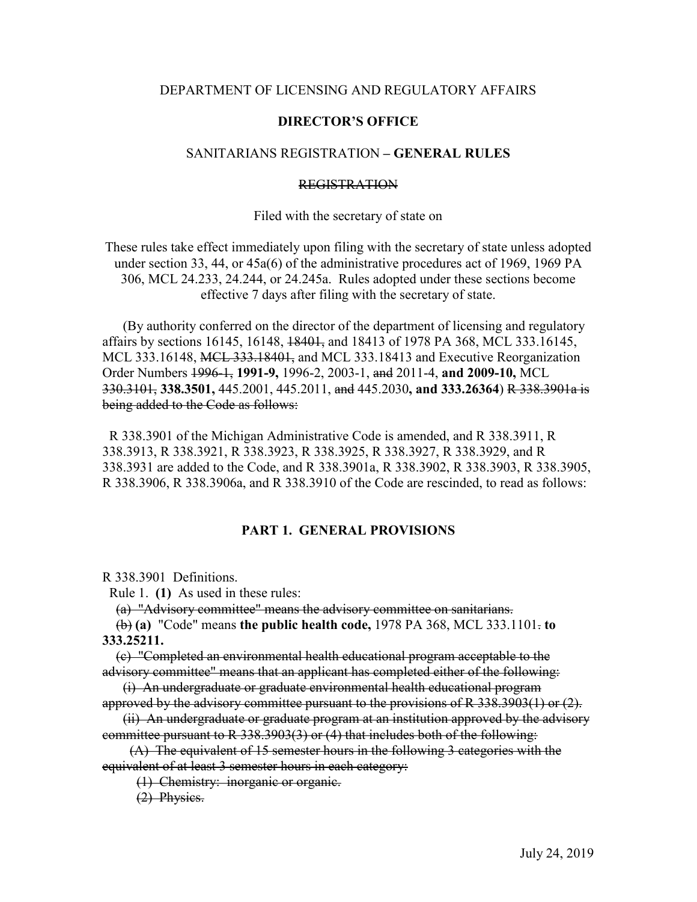#### DEPARTMENT OF LICENSING AND REGULATORY AFFAIRS

#### **DIRECTOR'S OFFICE**

#### SANITARIANS REGISTRATION **– GENERAL RULES**

#### REGISTRATION

#### Filed with the secretary of state on

These rules take effect immediately upon filing with the secretary of state unless adopted under section 33, 44, or 45a(6) of the administrative procedures act of 1969, 1969 PA 306, MCL 24.233, 24.244, or 24.245a. Rules adopted under these sections become effective 7 days after filing with the secretary of state.

 (By authority conferred on the director of the department of licensing and regulatory affairs by sections 16145, 16148, 18401, and 18413 of 1978 PA 368, MCL 333.16145, MCL 333.16148, MCL 333.18401, and MCL 333.18413 and Executive Reorganization Order Numbers 1996-1, **1991-9,** 1996-2, 2003-1, and 2011-4, **and 2009-10,** MCL 330.3101, **338.3501,** 445.2001, 445.2011, and 445.2030**, and 333.26364**) R 338.3901a is being added to the Code as follows:

 R 338.3901 of the Michigan Administrative Code is amended, and R 338.3911, R 338.3913, R 338.3921, R 338.3923, R 338.3925, R 338.3927, R 338.3929, and R 338.3931 are added to the Code, and R 338.3901a, R 338.3902, R 338.3903, R 338.3905, R 338.3906, R 338.3906a, and R 338.3910 of the Code are rescinded, to read as follows:

#### **PART 1. GENERAL PROVISIONS**

R 338.3901 Definitions.

Rule 1. **(1)** As used in these rules:

(a) "Advisory committee" means the advisory committee on sanitarians.

 (b) **(a)** "Code" means **the public health code,** 1978 PA 368, MCL 333.1101. **to 333.25211.**

 (c) "Completed an environmental health educational program acceptable to the advisory committee" means that an applicant has completed either of the following:

 (i) An undergraduate or graduate environmental health educational program approved by the advisory committee pursuant to the provisions of  $R$  338.3903(1) or  $(2)$ .

 (ii) An undergraduate or graduate program at an institution approved by the advisory committee pursuant to R 338.3903(3) or (4) that includes both of the following:

 (A) The equivalent of 15 semester hours in the following 3 categories with the equivalent of at least 3 semester hours in each category:

(1) Chemistry: inorganic or organic.

(2) Physics.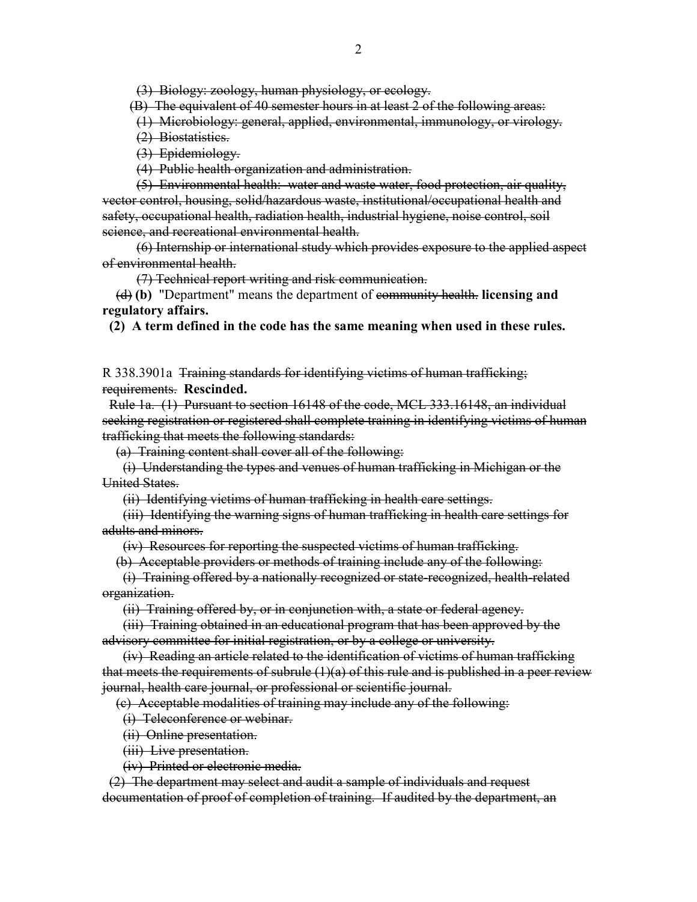(3) Biology: zoology, human physiology, or ecology.

(B) The equivalent of 40 semester hours in at least 2 of the following areas:

(1) Microbiology: general, applied, environmental, immunology, or virology.

(2) Biostatistics.

(3) Epidemiology.

(4) Public health organization and administration.

 (5) Environmental health: water and waste water, food protection, air quality, vector control, housing, solid/hazardous waste, institutional/occupational health and safety, occupational health, radiation health, industrial hygiene, noise control, soil science, and recreational environmental health.

 (6) Internship or international study which provides exposure to the applied aspect of environmental health.

(7) Technical report writing and risk communication.

 (d) **(b)** "Department" means the department of community health. **licensing and regulatory affairs.**

 **(2) A term defined in the code has the same meaning when used in these rules.**

R 338.3901a Training standards for identifying victims of human trafficking; requirements. **Rescinded.**

 Rule 1a. (1) Pursuant to section 16148 of the code, MCL 333.16148, an individual seeking registration or registered shall complete training in identifying victims of human trafficking that meets the following standards:

(a) Training content shall cover all of the following:

 (i) Understanding the types and venues of human trafficking in Michigan or the United States.

(ii) Identifying victims of human trafficking in health care settings.

 (iii) Identifying the warning signs of human trafficking in health care settings for adults and minors.

(iv) Resources for reporting the suspected victims of human trafficking.

(b) Acceptable providers or methods of training include any of the following:

 (i) Training offered by a nationally recognized or state-recognized, health-related organization.

(ii) Training offered by, or in conjunction with, a state or federal agency.

 (iii) Training obtained in an educational program that has been approved by the advisory committee for initial registration, or by a college or university.

 (iv) Reading an article related to the identification of victims of human trafficking that meets the requirements of subrule  $(1)(a)$  of this rule and is published in a peer review journal, health care journal, or professional or scientific journal.

(c) Acceptable modalities of training may include any of the following:

(i) Teleconference or webinar.

(ii) Online presentation.

(iii) Live presentation.

(iv) Printed or electronic media.

 (2) The department may select and audit a sample of individuals and request documentation of proof of completion of training. If audited by the department, an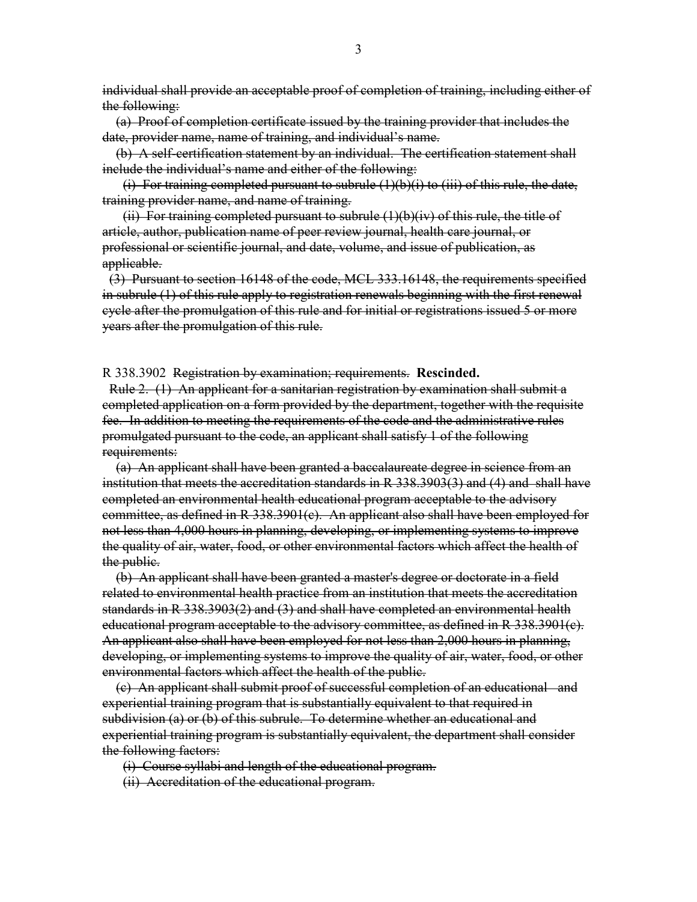individual shall provide an acceptable proof of completion of training, including either of the following:

 (a) Proof of completion certificate issued by the training provider that includes the date, provider name, name of training, and individual's name.

 (b) A self-certification statement by an individual. The certification statement shall include the individual's name and either of the following:

(i) For training completed pursuant to subrule  $(1)(b)(i)$  to (iii) of this rule, the date, training provider name, and name of training.

 $(i)$  For training completed pursuant to subrule  $(1)(b)(iv)$  of this rule, the title of article, author, publication name of peer review journal, health care journal, or professional or scientific journal, and date, volume, and issue of publication, as applicable.

 (3) Pursuant to section 16148 of the code, MCL 333.16148, the requirements specified in subrule (1) of this rule apply to registration renewals beginning with the first renewal cycle after the promulgation of this rule and for initial or registrations issued 5 or more years after the promulgation of this rule.

R 338.3902 Registration by examination; requirements. **Rescinded.**

 Rule 2. (1) An applicant for a sanitarian registration by examination shall submit a completed application on a form provided by the department, together with the requisite fee. In addition to meeting the requirements of the code and the administrative rules promulgated pursuant to the code, an applicant shall satisfy 1 of the following requirements:

 (a) An applicant shall have been granted a baccalaureate degree in science from an institution that meets the accreditation standards in R 338.3903(3) and (4) and shall have completed an environmental health educational program acceptable to the advisory committee, as defined in R 338.3901(c). An applicant also shall have been employed for not less than 4,000 hours in planning, developing, or implementing systems to improve the quality of air, water, food, or other environmental factors which affect the health of the public.

 (b) An applicant shall have been granted a master's degree or doctorate in a field related to environmental health practice from an institution that meets the accreditation standards in R 338.3903(2) and (3) and shall have completed an environmental health educational program acceptable to the advisory committee, as defined in R 338.3901(c). An applicant also shall have been employed for not less than 2,000 hours in planning, developing, or implementing systems to improve the quality of air, water, food, or other environmental factors which affect the health of the public.

 (c) An applicant shall submit proof of successful completion of an educational and experiential training program that is substantially equivalent to that required in subdivision (a) or (b) of this subrule. To determine whether an educational and experiential training program is substantially equivalent, the department shall consider the following factors:

(i) Course syllabi and length of the educational program.

(ii) Accreditation of the educational program.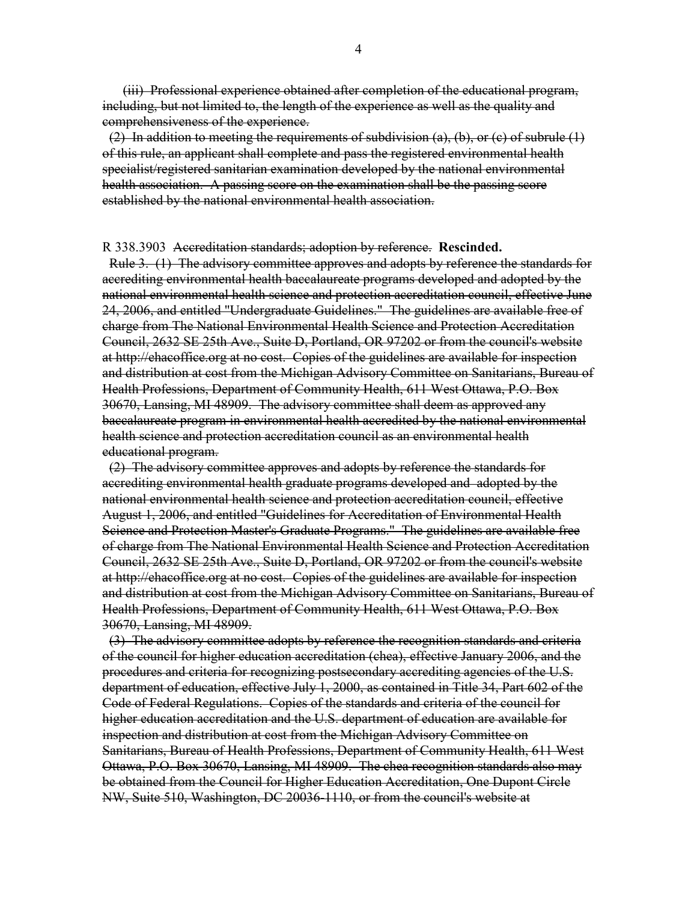(iii) Professional experience obtained after completion of the educational program, including, but not limited to, the length of the experience as well as the quality and comprehensiveness of the experience.

 $(2)$  In addition to meeting the requirements of subdivision  $(a)$ ,  $(b)$ , or  $(c)$  of subrule  $(1)$ of this rule, an applicant shall complete and pass the registered environmental health specialist/registered sanitarian examination developed by the national environmental health association. A passing score on the examination shall be the passing score established by the national environmental health association.

#### R 338.3903 Accreditation standards; adoption by reference. **Rescinded.**

 Rule 3. (1) The advisory committee approves and adopts by reference the standards for accrediting environmental health baccalaureate programs developed and adopted by the national environmental health science and protection accreditation council, effective June 24, 2006, and entitled "Undergraduate Guidelines." The guidelines are available free of charge from The National Environmental Health Science and Protection Accreditation Council, 2632 SE 25th Ave., Suite D, Portland, OR 97202 or from the council's website at http://ehacoffice.org at no cost. Copies of the guidelines are available for inspection and distribution at cost from the Michigan Advisory Committee on Sanitarians, Bureau of Health Professions, Department of Community Health, 611 West Ottawa, P.O. Box 30670, Lansing, MI 48909. The advisory committee shall deem as approved any baccalaureate program in environmental health accredited by the national environmental health science and protection accreditation council as an environmental health educational program.

 (2) The advisory committee approves and adopts by reference the standards for accrediting environmental health graduate programs developed and adopted by the national environmental health science and protection accreditation council, effective August 1, 2006, and entitled "Guidelines for Accreditation of Environmental Health Science and Protection Master's Graduate Programs." The guidelines are available free of charge from The National Environmental Health Science and Protection Accreditation Council, 2632 SE 25th Ave., Suite D, Portland, OR 97202 or from the council's website at http://ehacoffice.org at no cost. Copies of the guidelines are available for inspection and distribution at cost from the Michigan Advisory Committee on Sanitarians, Bureau of Health Professions, Department of Community Health, 611 West Ottawa, P.O. Box 30670, Lansing, MI 48909.

 (3) The advisory committee adopts by reference the recognition standards and criteria of the council for higher education accreditation (chea), effective January 2006, and the procedures and criteria for recognizing postsecondary accrediting agencies of the U.S. department of education, effective July 1, 2000, as contained in Title 34, Part 602 of the Code of Federal Regulations. Copies of the standards and criteria of the council for higher education accreditation and the U.S. department of education are available for inspection and distribution at cost from the Michigan Advisory Committee on Sanitarians, Bureau of Health Professions, Department of Community Health, 611 West Ottawa, P.O. Box 30670, Lansing, MI 48909. The chea recognition standards also may be obtained from the Council for Higher Education Accreditation, One Dupont Circle NW, Suite 510, Washington, DC 20036-1110, or from the council's website at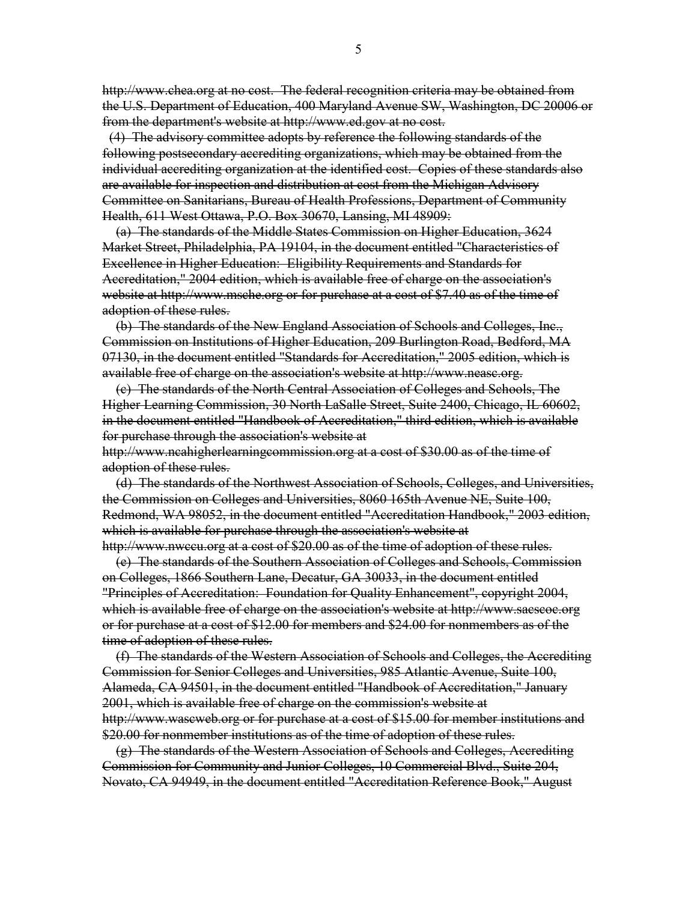http://www.chea.org at no cost. The federal recognition criteria may be obtained from the U.S. Department of Education, 400 Maryland Avenue SW, Washington, DC 20006 or from the department's website at http://www.ed.gov at no cost.

 (4) The advisory committee adopts by reference the following standards of the following postsecondary accrediting organizations, which may be obtained from the individual accrediting organization at the identified cost. Copies of these standards also are available for inspection and distribution at cost from the Michigan Advisory Committee on Sanitarians, Bureau of Health Professions, Department of Community Health, 611 West Ottawa, P.O. Box 30670, Lansing, MI 48909:

 (a) The standards of the Middle States Commission on Higher Education, 3624 Market Street, Philadelphia, PA 19104, in the document entitled "Characteristics of Excellence in Higher Education: Eligibility Requirements and Standards for Accreditation," 2004 edition, which is available free of charge on the association's website at http://www.msche.org or for purchase at a cost of \$7.40 as of the time of adoption of these rules.

 (b) The standards of the New England Association of Schools and Colleges, Inc., Commission on Institutions of Higher Education, 209 Burlington Road, Bedford, MA 07130, in the document entitled "Standards for Accreditation," 2005 edition, which is available free of charge on the association's website at http://www.neasc.org.

 (c) The standards of the North Central Association of Colleges and Schools, The Higher Learning Commission, 30 North LaSalle Street, Suite 2400, Chicago, IL 60602, in the document entitled "Handbook of Accreditation," third edition, which is available for purchase through the association's website at http://www.ncahigherlearningcommission.org at a cost of \$30.00 as of the time of

adoption of these rules.

 (d) The standards of the Northwest Association of Schools, Colleges, and Universities, the Commission on Colleges and Universities, 8060 165th Avenue NE, Suite 100, Redmond, WA 98052, in the document entitled "Accreditation Handbook," 2003 edition, which is available for purchase through the association's website at http://www.nwccu.org at a cost of \$20.00 as of the time of adoption of these rules.

 (e) The standards of the Southern Association of Colleges and Schools, Commission on Colleges, 1866 Southern Lane, Decatur, GA 30033, in the document entitled "Principles of Accreditation: Foundation for Quality Enhancement", copyright 2004, which is available free of charge on the association's website at http://www.sacscoc.org or for purchase at a cost of \$12.00 for members and \$24.00 for nonmembers as of the time of adoption of these rules.

 (f) The standards of the Western Association of Schools and Colleges, the Accrediting Commission for Senior Colleges and Universities, 985 Atlantic Avenue, Suite 100, Alameda, CA 94501, in the document entitled "Handbook of Accreditation," January 2001, which is available free of charge on the commission's website at http://www.wascweb.org or for purchase at a cost of \$15.00 for member institutions and \$20.00 for nonmember institutions as of the time of adoption of these rules.

 (g) The standards of the Western Association of Schools and Colleges, Accrediting Commission for Community and Junior Colleges, 10 Commercial Blvd., Suite 204, Novato, CA 94949, in the document entitled "Accreditation Reference Book," August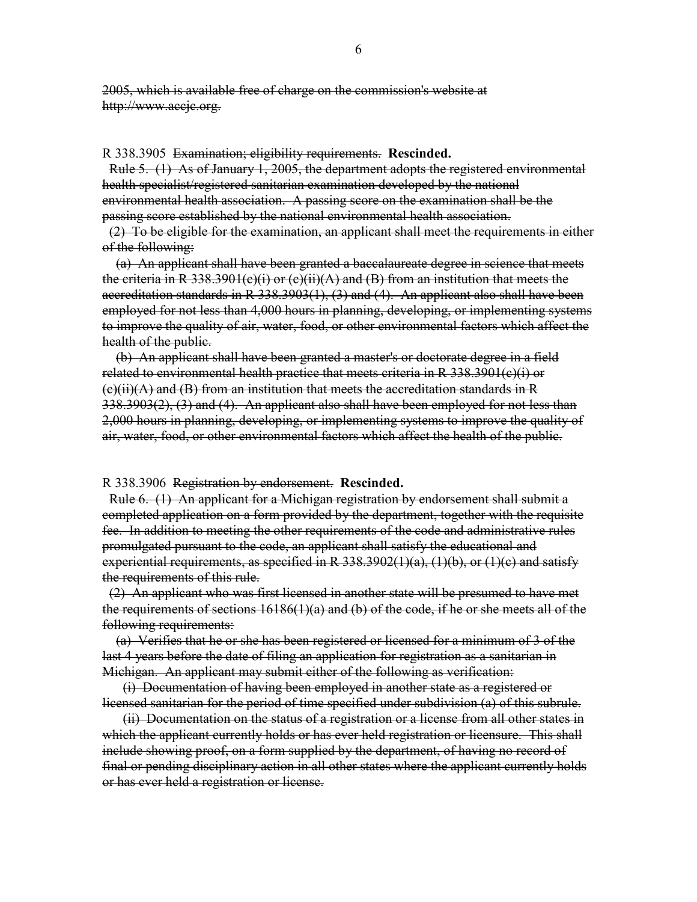2005, which is available free of charge on the commission's website at http://www.accjc.org.

#### R 338.3905 Examination; eligibility requirements. **Rescinded.**

 Rule 5. (1) As of January 1, 2005, the department adopts the registered environmental health specialist/registered sanitarian examination developed by the national environmental health association. A passing score on the examination shall be the passing score established by the national environmental health association.

 (2) To be eligible for the examination, an applicant shall meet the requirements in either of the following:

 (a) An applicant shall have been granted a baccalaureate degree in science that meets the criteria in R 338.3901(c)(i) or (c)(ii)(A) and (B) from an institution that meets the accreditation standards in R 338.3903(1), (3) and (4). An applicant also shall have been employed for not less than 4,000 hours in planning, developing, or implementing systems to improve the quality of air, water, food, or other environmental factors which affect the health of the public.

 (b) An applicant shall have been granted a master's or doctorate degree in a field related to environmental health practice that meets criteria in R 338.3901(c)(i) or  $(e)(ii)(A)$  and  $(B)$  from an institution that meets the accreditation standards in R 338.3903(2), (3) and (4). An applicant also shall have been employed for not less than 2,000 hours in planning, developing, or implementing systems to improve the quality of air, water, food, or other environmental factors which affect the health of the public.

R 338.3906 Registration by endorsement. **Rescinded.**

 Rule 6. (1) An applicant for a Michigan registration by endorsement shall submit a completed application on a form provided by the department, together with the requisite fee. In addition to meeting the other requirements of the code and administrative rules promulgated pursuant to the code, an applicant shall satisfy the educational and experiential requirements, as specified in R  $338.3902(1)(a)$ ,  $(1)(b)$ , or  $(1)(c)$  and satisfy the requirements of this rule.

 (2) An applicant who was first licensed in another state will be presumed to have met the requirements of sections 16186(1)(a) and (b) of the code, if he or she meets all of the following requirements:

 (a) Verifies that he or she has been registered or licensed for a minimum of 3 of the last 4 years before the date of filing an application for registration as a sanitarian in Michigan. An applicant may submit either of the following as verification:

 (i) Documentation of having been employed in another state as a registered or licensed sanitarian for the period of time specified under subdivision (a) of this subrule.

 (ii) Documentation on the status of a registration or a license from all other states in which the applicant currently holds or has ever held registration or licensure. This shall include showing proof, on a form supplied by the department, of having no record of final or pending disciplinary action in all other states where the applicant currently holds or has ever held a registration or license.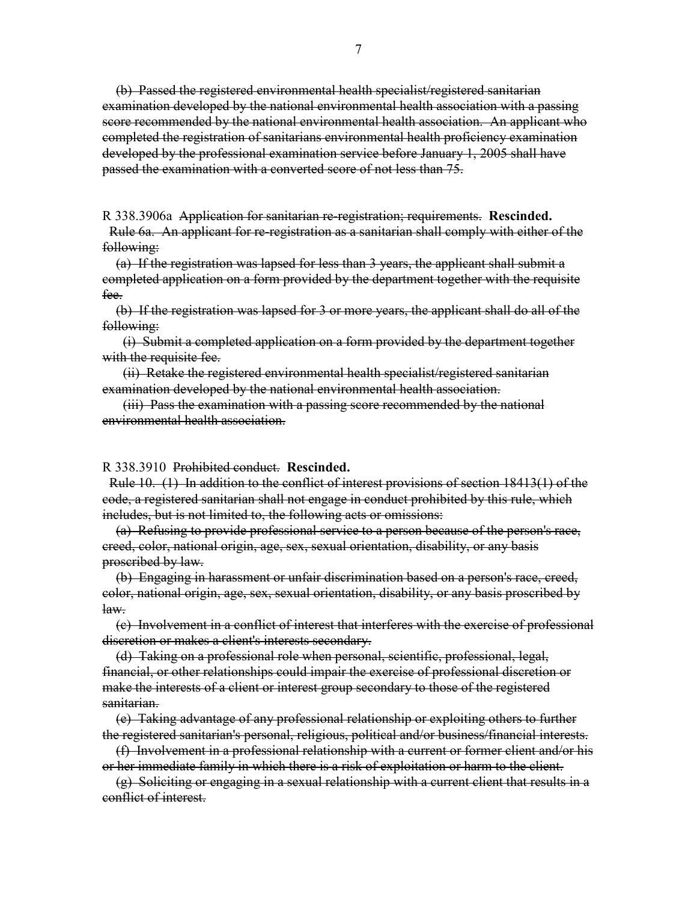(b) Passed the registered environmental health specialist/registered sanitarian examination developed by the national environmental health association with a passing score recommended by the national environmental health association. An applicant who completed the registration of sanitarians environmental health proficiency examination developed by the professional examination service before January 1, 2005 shall have passed the examination with a converted score of not less than 75.

R 338.3906a Application for sanitarian re-registration; requirements. **Rescinded.**

 Rule 6a. An applicant for re-registration as a sanitarian shall comply with either of the following:

 (a) If the registration was lapsed for less than 3 years, the applicant shall submit a completed application on a form provided by the department together with the requisite fee.

 (b) If the registration was lapsed for 3 or more years, the applicant shall do all of the following:

 (i) Submit a completed application on a form provided by the department together with the requisite fee.

 (ii) Retake the registered environmental health specialist/registered sanitarian examination developed by the national environmental health association.

 (iii) Pass the examination with a passing score recommended by the national environmental health association.

#### R 338.3910 Prohibited conduct. **Rescinded.**

 Rule 10. (1) In addition to the conflict of interest provisions of section 18413(1) of the code, a registered sanitarian shall not engage in conduct prohibited by this rule, which includes, but is not limited to, the following acts or omissions:

 (a) Refusing to provide professional service to a person because of the person's race, creed, color, national origin, age, sex, sexual orientation, disability, or any basis proscribed by law.

 (b) Engaging in harassment or unfair discrimination based on a person's race, creed, color, national origin, age, sex, sexual orientation, disability, or any basis proscribed by law.

 (c) Involvement in a conflict of interest that interferes with the exercise of professional discretion or makes a client's interests secondary.

 (d) Taking on a professional role when personal, scientific, professional, legal, financial, or other relationships could impair the exercise of professional discretion or make the interests of a client or interest group secondary to those of the registered sanitarian.

 (e) Taking advantage of any professional relationship or exploiting others to further the registered sanitarian's personal, religious, political and/or business/financial interests.

 (f) Involvement in a professional relationship with a current or former client and/or his or her immediate family in which there is a risk of exploitation or harm to the client.

 (g) Soliciting or engaging in a sexual relationship with a current client that results in a conflict of interest.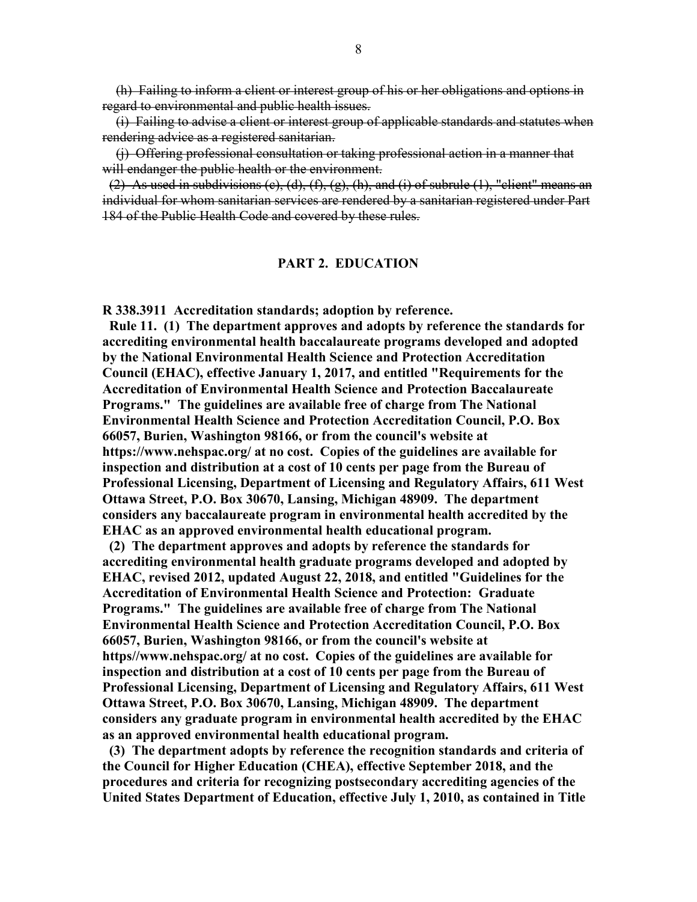(h) Failing to inform a client or interest group of his or her obligations and options in regard to environmental and public health issues.

 (i) Failing to advise a client or interest group of applicable standards and statutes when rendering advice as a registered sanitarian.

 (j) Offering professional consultation or taking professional action in a manner that will endanger the public health or the environment.

(2) As used in subdivisions (e), (d), (f), (g), (h), and (i) of subrule  $(1)$ , "client" means an individual for whom sanitarian services are rendered by a sanitarian registered under Part 184 of the Public Health Code and covered by these rules.

#### **PART 2. EDUCATION**

**R 338.3911 Accreditation standards; adoption by reference.**

 **Rule 11. (1) The department approves and adopts by reference the standards for accrediting environmental health baccalaureate programs developed and adopted by the National Environmental Health Science and Protection Accreditation Council (EHAC), effective January 1, 2017, and entitled "Requirements for the Accreditation of Environmental Health Science and Protection Baccalaureate Programs." The guidelines are available free of charge from The National Environmental Health Science and Protection Accreditation Council, P.O. Box 66057, Burien, Washington 98166, or from the council's website at https://www.nehspac.org/ at no cost. Copies of the guidelines are available for inspection and distribution at a cost of 10 cents per page from the Bureau of Professional Licensing, Department of Licensing and Regulatory Affairs, 611 West Ottawa Street, P.O. Box 30670, Lansing, Michigan 48909. The department considers any baccalaureate program in environmental health accredited by the EHAC as an approved environmental health educational program.**

 **(2) The department approves and adopts by reference the standards for accrediting environmental health graduate programs developed and adopted by EHAC, revised 2012, updated August 22, 2018, and entitled "Guidelines for the Accreditation of Environmental Health Science and Protection: Graduate Programs." The guidelines are available free of charge from The National Environmental Health Science and Protection Accreditation Council, P.O. Box 66057, Burien, Washington 98166, or from the council's website at https//www.nehspac.org/ at no cost. Copies of the guidelines are available for inspection and distribution at a cost of 10 cents per page from the Bureau of Professional Licensing, Department of Licensing and Regulatory Affairs, 611 West Ottawa Street, P.O. Box 30670, Lansing, Michigan 48909. The department considers any graduate program in environmental health accredited by the EHAC as an approved environmental health educational program.**

 **(3) The department adopts by reference the recognition standards and criteria of the Council for Higher Education (CHEA), effective September 2018, and the procedures and criteria for recognizing postsecondary accrediting agencies of the United States Department of Education, effective July 1, 2010, as contained in Title**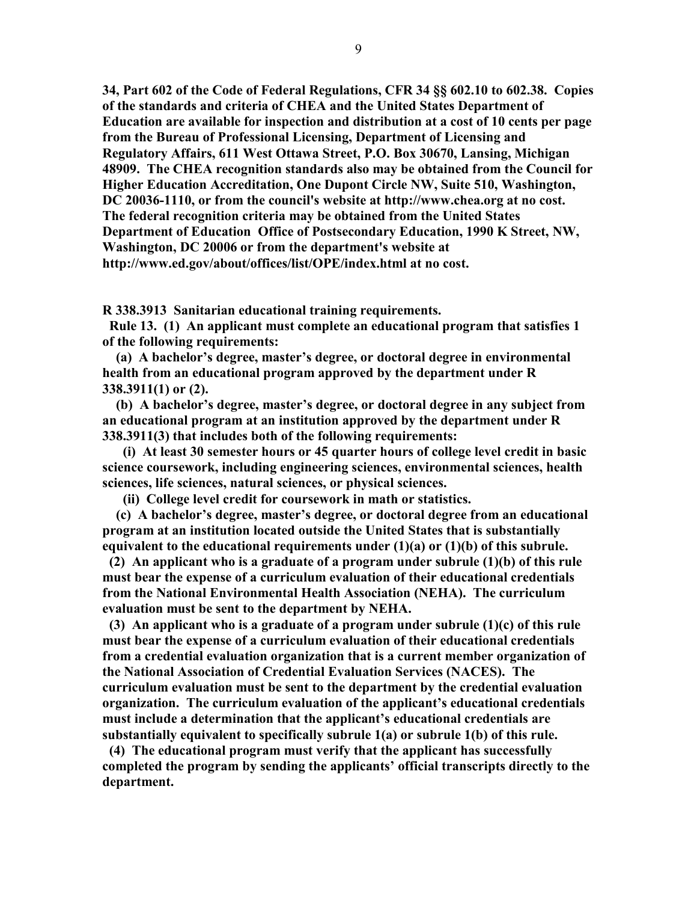**34, Part 602 of the Code of Federal Regulations, CFR 34 §§ 602.10 to 602.38. Copies of the standards and criteria of CHEA and the United States Department of Education are available for inspection and distribution at a cost of 10 cents per page from the Bureau of Professional Licensing, Department of Licensing and Regulatory Affairs, 611 West Ottawa Street, P.O. Box 30670, Lansing, Michigan 48909. The CHEA recognition standards also may be obtained from the Council for Higher Education Accreditation, One Dupont Circle NW, Suite 510, Washington, DC 20036-1110, or from the council's website at http://www.chea.org at no cost. The federal recognition criteria may be obtained from the United States Department of Education Office of Postsecondary Education, 1990 K Street, NW, Washington, DC 20006 or from the department's website at http://www.ed.gov/about/offices/list/OPE/index.html at no cost.**

**R 338.3913 Sanitarian educational training requirements.**

 **Rule 13. (1) An applicant must complete an educational program that satisfies 1 of the following requirements:**

 **(a) A bachelor's degree, master's degree, or doctoral degree in environmental health from an educational program approved by the department under R 338.3911(1) or (2).**

 **(b) A bachelor's degree, master's degree, or doctoral degree in any subject from an educational program at an institution approved by the department under R 338.3911(3) that includes both of the following requirements:**

 **(i) At least 30 semester hours or 45 quarter hours of college level credit in basic science coursework, including engineering sciences, environmental sciences, health sciences, life sciences, natural sciences, or physical sciences.**

 **(ii) College level credit for coursework in math or statistics.**

 **(c) A bachelor's degree, master's degree, or doctoral degree from an educational program at an institution located outside the United States that is substantially equivalent to the educational requirements under (1)(a) or (1)(b) of this subrule.**

 **(2) An applicant who is a graduate of a program under subrule (1)(b) of this rule must bear the expense of a curriculum evaluation of their educational credentials from the National Environmental Health Association (NEHA). The curriculum evaluation must be sent to the department by NEHA.** 

 **(3) An applicant who is a graduate of a program under subrule (1)(c) of this rule must bear the expense of a curriculum evaluation of their educational credentials from a credential evaluation organization that is a current member organization of the National Association of Credential Evaluation Services (NACES). The curriculum evaluation must be sent to the department by the credential evaluation organization. The curriculum evaluation of the applicant's educational credentials must include a determination that the applicant's educational credentials are substantially equivalent to specifically subrule 1(a) or subrule 1(b) of this rule.**

 **(4) The educational program must verify that the applicant has successfully completed the program by sending the applicants' official transcripts directly to the department.**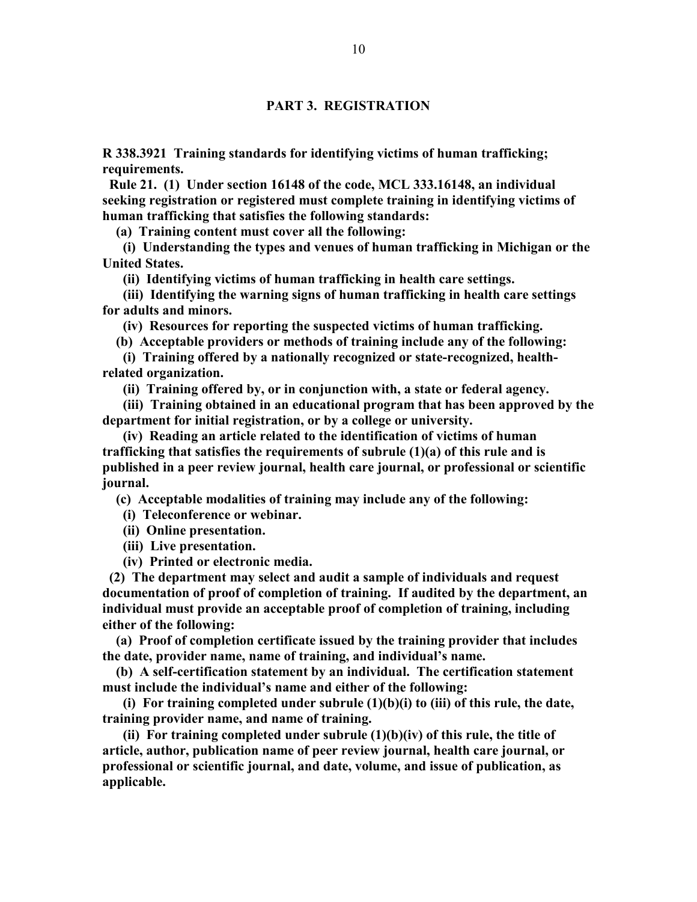#### **PART 3. REGISTRATION**

**R 338.3921 Training standards for identifying victims of human trafficking; requirements.**

 **Rule 21. (1) Under section 16148 of the code, MCL 333.16148, an individual seeking registration or registered must complete training in identifying victims of human trafficking that satisfies the following standards:**

 **(a) Training content must cover all the following:**

 **(i) Understanding the types and venues of human trafficking in Michigan or the United States.**

 **(ii) Identifying victims of human trafficking in health care settings.**

 **(iii) Identifying the warning signs of human trafficking in health care settings for adults and minors.**

 **(iv) Resources for reporting the suspected victims of human trafficking.**

 **(b) Acceptable providers or methods of training include any of the following:**

 **(i) Training offered by a nationally recognized or state-recognized, healthrelated organization.**

 **(ii) Training offered by, or in conjunction with, a state or federal agency.**

 **(iii) Training obtained in an educational program that has been approved by the department for initial registration, or by a college or university.**

 **(iv) Reading an article related to the identification of victims of human trafficking that satisfies the requirements of subrule (1)(a) of this rule and is published in a peer review journal, health care journal, or professional or scientific journal.**

 **(c) Acceptable modalities of training may include any of the following:**

 **(i) Teleconference or webinar.**

 **(ii) Online presentation.**

 **(iii) Live presentation.**

 **(iv) Printed or electronic media.**

 **(2) The department may select and audit a sample of individuals and request documentation of proof of completion of training. If audited by the department, an individual must provide an acceptable proof of completion of training, including either of the following:**

 **(a) Proof of completion certificate issued by the training provider that includes the date, provider name, name of training, and individual's name.**

 **(b) A self-certification statement by an individual. The certification statement must include the individual's name and either of the following:**

 **(i) For training completed under subrule (1)(b)(i) to (iii) of this rule, the date, training provider name, and name of training.**

 **(ii) For training completed under subrule (1)(b)(iv) of this rule, the title of article, author, publication name of peer review journal, health care journal, or professional or scientific journal, and date, volume, and issue of publication, as applicable.**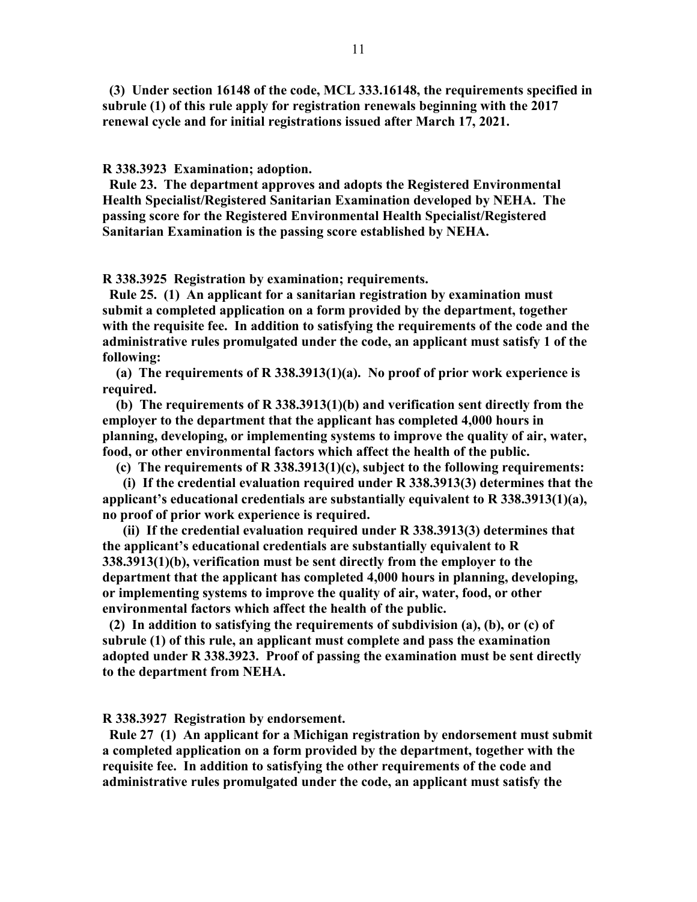**(3) Under section 16148 of the code, MCL 333.16148, the requirements specified in subrule (1) of this rule apply for registration renewals beginning with the 2017 renewal cycle and for initial registrations issued after March 17, 2021.**

**R 338.3923 Examination; adoption.**

 **Rule 23. The department approves and adopts the Registered Environmental Health Specialist/Registered Sanitarian Examination developed by NEHA. The passing score for the Registered Environmental Health Specialist/Registered Sanitarian Examination is the passing score established by NEHA.**

**R 338.3925 Registration by examination; requirements.**

 **Rule 25. (1) An applicant for a sanitarian registration by examination must submit a completed application on a form provided by the department, together with the requisite fee. In addition to satisfying the requirements of the code and the administrative rules promulgated under the code, an applicant must satisfy 1 of the following:**

 **(a) The requirements of R 338.3913(1)(a). No proof of prior work experience is required.**

 **(b) The requirements of R 338.3913(1)(b) and verification sent directly from the employer to the department that the applicant has completed 4,000 hours in planning, developing, or implementing systems to improve the quality of air, water, food, or other environmental factors which affect the health of the public.**

 **(c) The requirements of R 338.3913(1)(c), subject to the following requirements:**

 **(i) If the credential evaluation required under R 338.3913(3) determines that the applicant's educational credentials are substantially equivalent to R 338.3913(1)(a), no proof of prior work experience is required.**

 **(ii) If the credential evaluation required under R 338.3913(3) determines that the applicant's educational credentials are substantially equivalent to R 338.3913(1)(b), verification must be sent directly from the employer to the department that the applicant has completed 4,000 hours in planning, developing, or implementing systems to improve the quality of air, water, food, or other environmental factors which affect the health of the public.**

 **(2) In addition to satisfying the requirements of subdivision (a), (b), or (c) of subrule (1) of this rule, an applicant must complete and pass the examination adopted under R 338.3923. Proof of passing the examination must be sent directly to the department from NEHA.**

**R 338.3927 Registration by endorsement.**

 **Rule 27 (1) An applicant for a Michigan registration by endorsement must submit a completed application on a form provided by the department, together with the requisite fee. In addition to satisfying the other requirements of the code and administrative rules promulgated under the code, an applicant must satisfy the**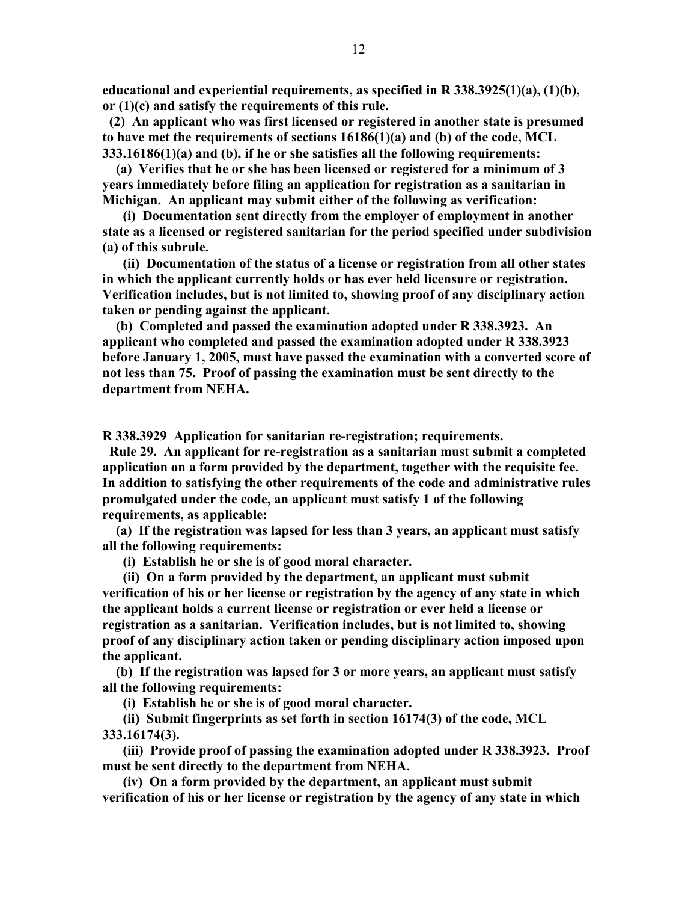**educational and experiential requirements, as specified in R 338.3925(1)(a), (1)(b), or (1)(c) and satisfy the requirements of this rule.**

 **(2) An applicant who was first licensed or registered in another state is presumed to have met the requirements of sections 16186(1)(a) and (b) of the code, MCL 333.16186(1)(a) and (b), if he or she satisfies all the following requirements:**

 **(a) Verifies that he or she has been licensed or registered for a minimum of 3 years immediately before filing an application for registration as a sanitarian in Michigan. An applicant may submit either of the following as verification:**

 **(i) Documentation sent directly from the employer of employment in another state as a licensed or registered sanitarian for the period specified under subdivision (a) of this subrule.**

 **(ii) Documentation of the status of a license or registration from all other states in which the applicant currently holds or has ever held licensure or registration. Verification includes, but is not limited to, showing proof of any disciplinary action taken or pending against the applicant.**

 **(b) Completed and passed the examination adopted under R 338.3923. An applicant who completed and passed the examination adopted under R 338.3923 before January 1, 2005, must have passed the examination with a converted score of not less than 75. Proof of passing the examination must be sent directly to the department from NEHA.**

**R 338.3929 Application for sanitarian re-registration; requirements.**

 **Rule 29. An applicant for re-registration as a sanitarian must submit a completed application on a form provided by the department, together with the requisite fee. In addition to satisfying the other requirements of the code and administrative rules promulgated under the code, an applicant must satisfy 1 of the following requirements, as applicable:**

 **(a) If the registration was lapsed for less than 3 years, an applicant must satisfy all the following requirements:**

 **(i) Establish he or she is of good moral character.**

 **(ii) On a form provided by the department, an applicant must submit verification of his or her license or registration by the agency of any state in which the applicant holds a current license or registration or ever held a license or registration as a sanitarian. Verification includes, but is not limited to, showing proof of any disciplinary action taken or pending disciplinary action imposed upon the applicant.**

 **(b) If the registration was lapsed for 3 or more years, an applicant must satisfy all the following requirements:**

 **(i) Establish he or she is of good moral character.**

 **(ii) Submit fingerprints as set forth in section 16174(3) of the code, MCL 333.16174(3).**

 **(iii) Provide proof of passing the examination adopted under R 338.3923. Proof must be sent directly to the department from NEHA.**

 **(iv) On a form provided by the department, an applicant must submit verification of his or her license or registration by the agency of any state in which**